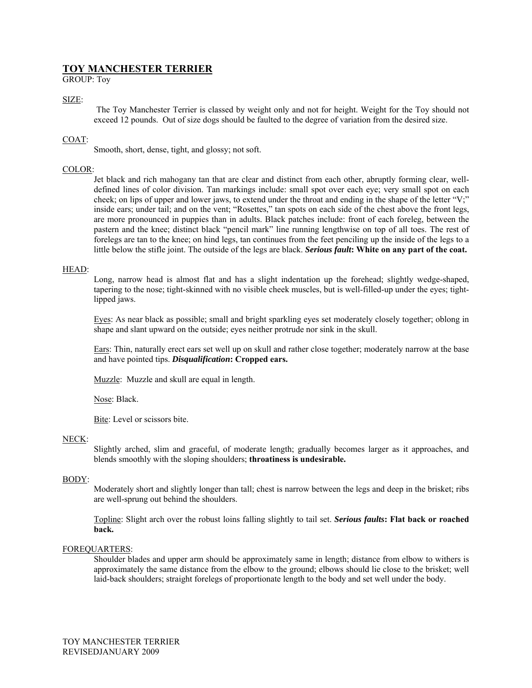# **TOY MANCHESTER TERRIER**

GROUP: Toy

# SIZE:

The Toy Manchester Terrier is classed by weight only and not for height. Weight for the Toy should not exceed 12 pounds. Out of size dogs should be faulted to the degree of variation from the desired size.

# COAT:

Smooth, short, dense, tight, and glossy; not soft.

## COLOR:

Jet black and rich mahogany tan that are clear and distinct from each other, abruptly forming clear, welldefined lines of color division. Tan markings include: small spot over each eye; very small spot on each cheek; on lips of upper and lower jaws, to extend under the throat and ending in the shape of the letter "V;" inside ears; under tail; and on the vent; "Rosettes," tan spots on each side of the chest above the front legs, are more pronounced in puppies than in adults. Black patches include: front of each foreleg, between the pastern and the knee; distinct black "pencil mark" line running lengthwise on top of all toes. The rest of forelegs are tan to the knee; on hind legs, tan continues from the feet penciling up the inside of the legs to a little below the stifle joint. The outside of the legs are black. *Serious fault***: White on any part of the coat.** 

## HEAD:

Long, narrow head is almost flat and has a slight indentation up the forehead; slightly wedge-shaped, tapering to the nose; tight-skinned with no visible cheek muscles, but is well-filled-up under the eyes; tightlipped jaws.

Eyes: As near black as possible; small and bright sparkling eyes set moderately closely together; oblong in shape and slant upward on the outside; eyes neither protrude nor sink in the skull.

Ears: Thin, naturally erect ears set well up on skull and rather close together; moderately narrow at the base and have pointed tips. *Disqualification***: Cropped ears.** 

Muzzle: Muzzle and skull are equal in length.

Nose: Black.

Bite: Level or scissors bite.

## NECK:

Slightly arched, slim and graceful, of moderate length; gradually becomes larger as it approaches, and blends smoothly with the sloping shoulders; **throatiness is undesirable.**

## BODY:

Moderately short and slightly longer than tall; chest is narrow between the legs and deep in the brisket; ribs are well-sprung out behind the shoulders.

Topline: Slight arch over the robust loins falling slightly to tail set. *Serious faults***: Flat back or roached back.** 

## FOREQUARTERS:

Shoulder blades and upper arm should be approximately same in length; distance from elbow to withers is approximately the same distance from the elbow to the ground; elbows should lie close to the brisket; well laid-back shoulders; straight forelegs of proportionate length to the body and set well under the body.